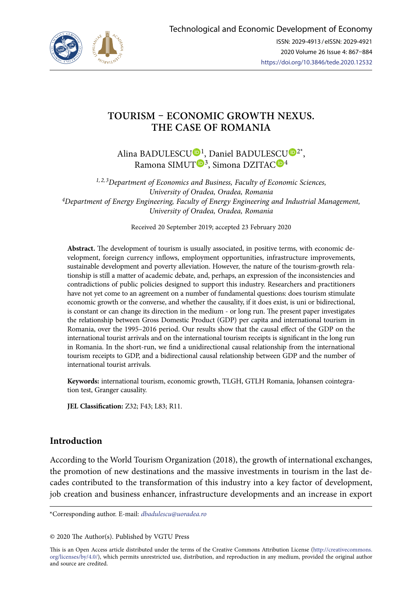

# **TOURISM – ECONOMIC GROWTH NEXUS. THE CASE OF ROMANIA**

Alina BAD[U](https://orcid.org/0000-0002-0090-9340)LES[CU](https://orcid.org/0000-0002-3807-780X)<sup>D1</sup>, Daniel BADULESCU<sup>D2\*</sup>, Ramona SIMUT<sup>D[3](https://orcid.org/0000-0003-1673-3586)</sup>, Simona DZITAC<sup>D4</sup>

*1, 2, 3Department of Economics and Business, Faculty of Economic Sciences, University of Oradea, Oradea, Romania 4Department of Energy Engineering, Faculty of Energy Engineering and Industrial Management, University of Oradea, Oradea, Romania* 

Received 20 September 2019; accepted 23 February 2020

**Abstract.** The development of tourism is usually associated, in positive terms, with economic development, foreign currency inflows, employment opportunities, infrastructure improvements, sustainable development and poverty alleviation. However, the nature of the tourism-growth relationship is still a matter of academic debate, and, perhaps, an expression of the inconsistencies and contradictions of public policies designed to support this industry. Researchers and practitioners have not yet come to an agreement on a number of fundamental questions: does tourism stimulate economic growth or the converse, and whether the causality, if it does exist, is uni or bidirectional, is constant or can change its direction in the medium - or long run. The present paper investigates the relationship between Gross Domestic Product (GDP) per capita and international tourism in Romania, over the 1995–2016 period. Our results show that the causal effect of the GDP on the international tourist arrivals and on the international tourism receipts is significant in the long run in Romania. In the short-run, we find a unidirectional causal relationship from the international tourism receipts to GDP, and a bidirectional causal relationship between GDP and the number of international tourist arrivals*.*

**Keywords:** international tourism, economic growth, TLGH, GTLH Romania, Johansen cointegration test, Granger causality.

**JEL Classification:** Z32; F43; L83; R11.

# **Introduction**

According to the World Tourism Organization (2018), the growth of international exchanges, the promotion of new destinations and the massive investments in tourism in the last decades contributed to the transformation of this industry into a key factor of development, job creation and business enhancer, infrastructure developments and an increase in export

\*Corresponding author. E-mail: *[dbadulescu@uoradea.ro](mailto:dbadulescu@uoradea.ro)*

© 2020 The Author(s). Published by VGTU Press

This is an Open Access article distributed under the terms of the Creative Commons Attribution License ([http://creativecommons.](http://dx.doi.org/10.1016/S0377-2217(03)00091-2) [org/licenses/by/4.0/\)](http://dx.doi.org/10.1016/S0377-2217(03)00091-2), which permits unrestricted use, distribution, and reproduction in any medium, provided the original author and source are credited.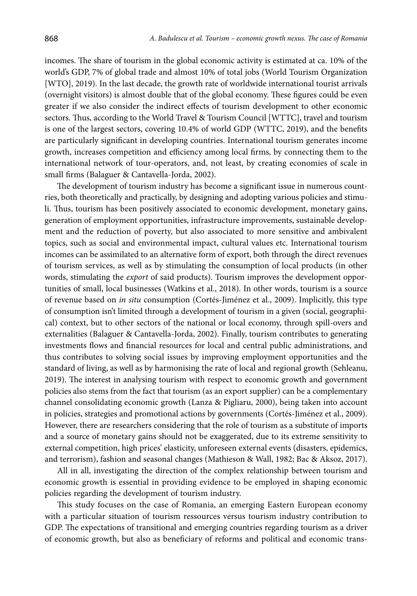incomes. The share of tourism in the global economic activity is estimated at ca. 10% of the world's GDP, 7% of global trade and almost 10% of total jobs (World Tourism Organization [WTO], 2019). In the last decade, the growth rate of worldwide international tourist arrivals (overnight visitors) is almost double that of the global economy. These figures could be even greater if we also consider the indirect effects of tourism development to other economic sectors. Thus, according to the World Travel & Tourism Council [WTTC], travel and tourism is one of the largest sectors, covering 10.4% of world GDP (WTTC, 2019), and the benefits are particularly significant in developing countries. International tourism generates income growth, increases competition and efficiency among local firms, by connecting them to the international network of tour-operators, and, not least, by creating economies of scale in small firms (Balaguer & Cantavella-Jorda, 2002).

The development of tourism industry has become a significant issue in numerous countries, both theoretically and practically, by designing and adopting various policies and stimuli. Thus, tourism has been positively associated to economic development, monetary gains, generation of employment opportunities, infrastructure improvements, sustainable development and the reduction of poverty, but also associated to more sensitive and ambivalent topics, such as social and environmental impact, cultural values etc. International tourism incomes can be assimilated to an alternative form of export, both through the direct revenues of tourism services, as well as by stimulating the consumption of local products (in other words, stimulating the *export* of said products). Tourism improves the development opportunities of small, local businesses (Watkins et al., 2018). In other words, tourism is a source of revenue based on *in situ* consumption (Cortés-Jiménez et al., 2009). Implicitly, this type of consumption isn't limited through a development of tourism in a given (social, geographical) context, but to other sectors of the national or local economy, through spill-overs and externalities (Balaguer & Cantavella-Jorda, 2002). Finally, tourism contributes to generating investments flows and financial resources for local and central public administrations, and thus contributes to solving social issues by improving employment opportunities and the standard of living, as well as by harmonising the rate of local and regional growth (Sehleanu, 2019). The interest in analysing tourism with respect to economic growth and government policies also stems from the fact that tourism (as an export supplier) can be a complementary channel consolidating economic growth (Lanza & Pigliaru, 2000), being taken into account in policies, strategies and promotional actions by governments (Cortés-Jiménez et al., 2009). However, there are researchers considering that the role of tourism as a substitute of imports and a source of monetary gains should not be exaggerated, due to its extreme sensitivity to external competition, high prices' elasticity, unforeseen external events (disasters, epidemics, and terrorism), fashion and seasonal changes (Mathieson & Wall, 1982; Bac & Aksoz, 2017).

All in all, investigating the direction of the complex relationship between tourism and economic growth is essential in providing evidence to be employed in shaping economic policies regarding the development of tourism industry.

This study focuses on the case of Romania, an emerging Eastern European economy with a particular situation of tourism ressources versus tourism industry contribution to GDP. The expectations of transitional and emerging countries regarding tourism as a driver of economic growth, but also as beneficiary of reforms and political and economic trans-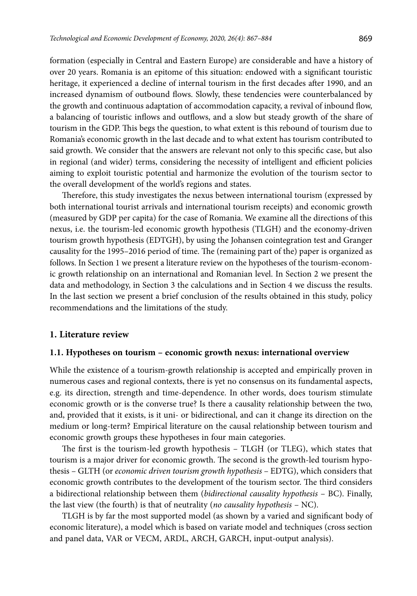formation (especially in Central and Eastern Europe) are considerable and have a history of over 20 years. Romania is an epitome of this situation: endowed with a significant touristic heritage, it experienced a decline of internal tourism in the first decades after 1990, and an increased dynamism of outbound flows. Slowly, these tendencies were counterbalanced by the growth and continuous adaptation of accommodation capacity, a revival of inbound flow, a balancing of touristic inflows and outflows, and a slow but steady growth of the share of tourism in the GDP. This begs the question, to what extent is this rebound of tourism due to Romania's economic growth in the last decade and to what extent has tourism contributed to said growth. We consider that the answers are relevant not only to this specific case, but also in regional (and wider) terms, considering the necessity of intelligent and efficient policies aiming to exploit touristic potential and harmonize the evolution of the tourism sector to the overall development of the world's regions and states.

Therefore, this study investigates the nexus between international tourism (expressed by both international tourist arrivals and international tourism receipts) and economic growth (measured by GDP per capita) for the case of Romania. We examine all the directions of this nexus, i.e. the tourism-led economic growth hypothesis (TLGH) and the economy-driven tourism growth hypothesis (EDTGH), by using the Johansen cointegration test and Granger causality for the 1995–2016 period of time. The (remaining part of the) paper is organized as follows. In Section 1 we present a literature review on the hypotheses of the tourism-economic growth relationship on an international and Romanian level. In Section 2 we present the data and methodology, in Section 3 the calculations and in Section 4 we discuss the results. In the last section we present a brief conclusion of the results obtained in this study, policy recommendations and the limitations of the study.

#### **1. Literature review**

#### **1.1. Hypotheses on tourism – economic growth nexus: international overview**

While the existence of a tourism-growth relationship is accepted and empirically proven in numerous cases and regional contexts, there is yet no consensus on its fundamental aspects, e.g. its direction, strength and time-dependence. In other words, does tourism stimulate economic growth or is the converse true? Is there a causality relationship between the two, and, provided that it exists, is it uni- or bidirectional, and can it change its direction on the medium or long-term? Empirical literature on the causal relationship between tourism and economic growth groups these hypotheses in four main categories.

The first is the tourism-led growth hypothesis – TLGH (or TLEG), which states that tourism is a major driver for economic growth. The second is the growth-led tourism hypothesis – GLTH (or *economic driven tourism growth hypothesis* – EDTG), which considers that economic growth contributes to the development of the tourism sector. The third considers a bidirectional relationship between them (*bidirectional causality hypothesis* – BC). Finally, the last view (the fourth) is that of neutrality (*no causality hypothesis* – NC).

TLGH is by far the most supported model (as shown by a varied and significant body of economic literature), a model which is based on variate model and techniques (cross section and panel data, VAR or VECM, ARDL, ARCH, GARCH, input-output analysis).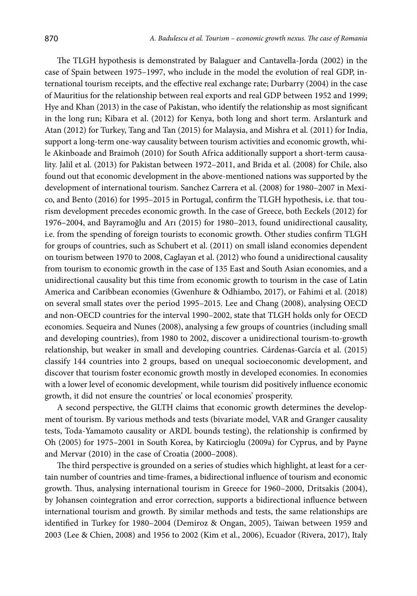The TLGH hypothesis is demonstrated by Balaguer and Cantavella-Jorda (2002) in the case of Spain between 1975–1997, who include in the model the evolution of real GDP, international tourism receipts, and the effective real exchange rate; Durbarry (2004) in the case of Mauritius for the relationship between real exports and real GDP between 1952 and 1999; Hye and Khan (2013) in the case of Pakistan, who identify the relationship as most significant in the long run; Kibara et al. (2012) for Kenya, both long and short term. Arslanturk and Atan (2012) for Turkey, Tang and Tan (2015) for Malaysia, and Mishra et al. (2011) for India, support a long-term one-way causality between tourism activities and economic growth, while Akinboade and Braimoh (2010) for South Africa additionally support a short-term causality. Jalil et al. (2013) for Pakistan between 1972–2011, and Brida et al. (2008) for Chile, also found out that economic development in the above-mentioned nations was supported by the development of international tourism. Sanchez Carrera et al. (2008) for 1980–2007 in Mexico, and Bento (2016) for 1995–2015 in Portugal, confirm the TLGH hypothesis, i.e. that tourism development precedes economic growth. In the case of Greece, both Eeckels (2012) for 1976–2004, and Bayramoğlu and Arı (2015) for 1980–2013, found unidirectional causality, i.e. from the spending of foreign tourists to economic growth. Other studies confirm TLGH for groups of countries, such as Schubert et al. (2011) on small island economies dependent on tourism between 1970 to 2008, Caglayan et al. (2012) who found a unidirectional causality from tourism to economic growth in the case of 135 East and South Asian economies, and a unidirectional causality but this time from economic growth to tourism in the case of Latin America and Caribbean economies (Gwenhure & Odhiambo, 2017), or Fahimi et al. (2018) on several small states over the period 1995–2015. Lee and Chang (2008), analysing OECD and non-OECD countries for the interval 1990–2002, state that TLGH holds only for OECD economies. Sequeira and Nunes (2008), analysing a few groups of countries (including small and developing countries), from 1980 to 2002, discover a unidirectional tourism-to-growth relationship, but weaker in small and developing countries. Cárdenas-García et al. (2015) classify 144 countries into 2 groups, based on unequal socioeconomic development, and discover that tourism foster economic growth mostly in developed economies. In economies with a lower level of economic development, while tourism did positively influence economic growth, it did not ensure the countries' or local economies' prosperity.

A second perspective, the GLTH claims that economic growth determines the development of tourism. By various methods and tests (bivariate model, VAR and Granger causality tests, Toda-Yamamoto causality or ARDL bounds testing), the relationship is confirmed by Oh (2005) for 1975–2001 in South Korea, by Katircioglu (2009a) for Cyprus, and by Payne and Mervar (2010) in the case of Croatia (2000–2008).

The third perspective is grounded on a series of studies which highlight, at least for a certain number of countries and time-frames, a bidirectional influence of tourism and economic growth. Thus, analysing international tourism in Greece for 1960–2000, Dritsakis (2004), by Johansen cointegration and error correction, supports a bidirectional influence between international tourism and growth. By similar methods and tests, the same relationships are identified in Turkey for 1980–2004 (Demiroz & Ongan, 2005), Taiwan between 1959 and 2003 (Lee & Chien, 2008) and 1956 to 2002 (Kim et al., 2006), Ecuador (Rivera, 2017), Italy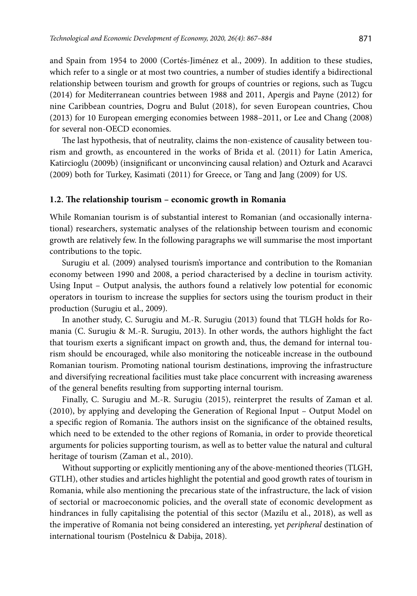and Spain from 1954 to 2000 (Cortés-Jiménez et al., 2009). In addition to these studies, which refer to a single or at most two countries, a number of studies identify a bidirectional relationship between tourism and growth for groups of countries or regions, such as Tugcu (2014) for Mediterranean countries between 1988 and 2011, Apergis and Payne (2012) for nine Caribbean countries, Dogru and Bulut (2018), for seven European countries, Chou (2013) for 10 European emerging economies between 1988–2011, or Lee and Chang (2008) for several non-OECD economies.

The last hypothesis, that of neutrality, claims the non-existence of causality between tourism and growth, as encountered in the works of Brida et al. (2011) for Latin America, Katircioglu (2009b) (insignificant or unconvincing causal relation) and Ozturk and Acaravci (2009) both for Turkey, Kasimati (2011) for Greece, or Tang and Jang (2009) for US.

#### **1.2. The relationship tourism – economic growth in Romania**

While Romanian tourism is of substantial interest to Romanian (and occasionally international) researchers, systematic analyses of the relationship between tourism and economic growth are relatively few. In the following paragraphs we will summarise the most important contributions to the topic.

Surugiu et al. (2009) analysed tourism's importance and contribution to the Romanian economy between 1990 and 2008, a period characterised by a decline in tourism activity. Using Input – Output analysis, the authors found a relatively low potential for economic operators in tourism to increase the supplies for sectors using the tourism product in their production (Surugiu et al., 2009).

In another study, C. Surugiu and M.-R. Surugiu (2013) found that TLGH holds for Romania (C. Surugiu & M.-R. Surugiu, 2013). In other words, the authors highlight the fact that tourism exerts a significant impact on growth and, thus, the demand for internal tourism should be encouraged, while also monitoring the noticeable increase in the outbound Romanian tourism. Promoting national tourism destinations, improving the infrastructure and diversifying recreational facilities must take place concurrent with increasing awareness of the general benefits resulting from supporting internal tourism.

Finally, C. Surugiu and M.-R. Surugiu (2015), reinterpret the results of Zaman et al. (2010), by applying and developing the Generation of Regional Input – Output Model on a specific region of Romania. The authors insist on the significance of the obtained results, which need to be extended to the other regions of Romania, in order to provide theoretical arguments for policies supporting tourism, as well as to better value the natural and cultural heritage of tourism (Zaman et al., 2010).

Without supporting or explicitly mentioning any of the above-mentioned theories (TLGH, GTLH), other studies and articles highlight the potential and good growth rates of tourism in Romania, while also mentioning the precarious state of the infrastructure, the lack of vision of sectorial or macroeconomic policies, and the overall state of economic development as hindrances in fully capitalising the potential of this sector (Mazilu et al., 2018), as well as the imperative of Romania not being considered an interesting, yet *peripheral* destination of international tourism (Postelnicu & Dabija, 2018).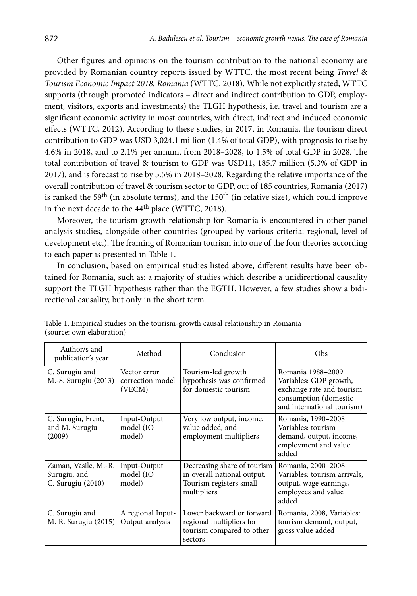Other figures and opinions on the tourism contribution to the national economy are provided by Romanian country reports issued by WTTC, the most recent being *Travel* & *Tourism Economic Impact 2018. Romania* (WTTC, 2018). While not explicitly stated, WTTC supports (through promoted indicators – direct and indirect contribution to GDP, employment, visitors, exports and investments) the TLGH hypothesis, i.e. travel and tourism are a significant economic activity in most countries, with direct, indirect and induced economic effects (WTTC, 2012). According to these studies, in 2017, in Romania, the tourism direct contribution to GDP was USD 3,024.1 million (1.4% of total GDP), with prognosis to rise by 4.6% in 2018, and to 2.1% per annum, from 2018–2028, to 1.5% of total GDP in 2028. The total contribution of travel & tourism to GDP was USD11, 185.7 million (5.3% of GDP in 2017), and is forecast to rise by 5.5% in 2018–2028. Regarding the relative importance of the overall contribution of travel & tourism sector to GDP, out of 185 countries, Romania (2017) is ranked the 59<sup>th</sup> (in absolute terms), and the  $150<sup>th</sup>$  (in relative size), which could improve in the next decade to the 44<sup>th</sup> place (WTTC, 2018).

Moreover, the tourism-growth relationship for Romania is encountered in other panel analysis studies, alongside other countries (grouped by various criteria: regional, level of development etc.). The framing of Romanian tourism into one of the four theories according to each paper is presented in Table 1.

In conclusion, based on empirical studies listed above, different results have been obtained for Romania, such as: a majority of studies which describe a unidirectional causality support the TLGH hypothesis rather than the EGTH. However, a few studies show a bidirectional causality, but only in the short term.

| Author/s and<br>publication's year                        | Method                                     | Conclusion                                                                                           | Obs                                                                                                                             |
|-----------------------------------------------------------|--------------------------------------------|------------------------------------------------------------------------------------------------------|---------------------------------------------------------------------------------------------------------------------------------|
| C. Surugiu and<br>M.-S. Surugiu (2013)                    | Vector error<br>correction model<br>(VECM) | Tourism-led growth<br>hypothesis was confirmed<br>for domestic tourism                               | Romania 1988-2009<br>Variables: GDP growth,<br>exchange rate and tourism<br>consumption (domestic<br>and international tourism) |
| C. Surugiu, Frent,<br>and M. Surugiu<br>(2009)            | Input-Output<br>model (IO<br>model)        | Very low output, income,<br>value added, and<br>employment multipliers                               | Romania, 1990-2008<br>Variables: tourism<br>demand, output, income,<br>employment and value<br>added                            |
| Zaman, Vasile, M.-R.<br>Surugiu, and<br>C. Surugiu (2010) | Input-Output<br>model (IO<br>model)        | Decreasing share of tourism<br>in overall national output.<br>Tourism registers small<br>multipliers | Romania, 2000-2008<br>Variables: tourism arrivals.<br>output, wage earnings,<br>employees and value<br>added                    |
| C. Surugiu and<br>M. R. Surugiu (2015)                    | A regional Input-<br>Output analysis       | Lower backward or forward<br>regional multipliers for<br>tourism compared to other<br>sectors        | Romania, 2008, Variables:<br>tourism demand, output,<br>gross value added                                                       |

Table 1. Empirical studies on the tourism-growth causal relationship in Romania (source: own elaboration)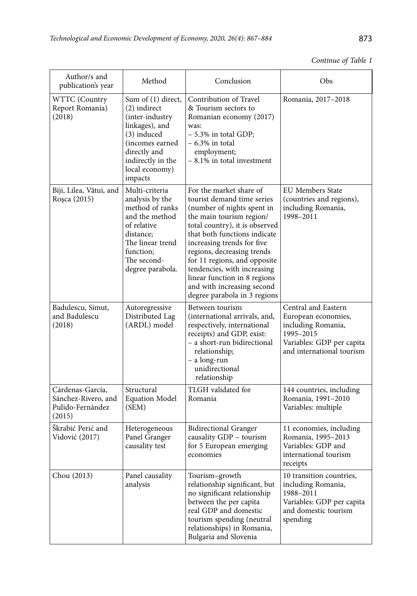# *Continue of Table 1*

| Author/s and<br>publication's year                                    | Method                                                                                                                                                                       | Conclusion                                                                                                                                                                                                                                                                                                                                                                                                 | Obs                                                                                                                                     |
|-----------------------------------------------------------------------|------------------------------------------------------------------------------------------------------------------------------------------------------------------------------|------------------------------------------------------------------------------------------------------------------------------------------------------------------------------------------------------------------------------------------------------------------------------------------------------------------------------------------------------------------------------------------------------------|-----------------------------------------------------------------------------------------------------------------------------------------|
| WTTC (Country<br>Report Romania)<br>(2018)                            | Sum of (1) direct,<br>(2) indirect<br>(inter-industry<br>linkages), and<br>(3) induced<br>(incomes earned)<br>directly and<br>indirectly in the<br>local economy)<br>impacts | Contribution of Travel<br>& Tourism sectors to<br>Romanian economy (2017)<br>was:<br>$-5.3\%$ in total GDP;<br>$-6.3\%$ in total<br>employment;<br>$-8.1\%$ in total investment                                                                                                                                                                                                                            | Romania, 2017-2018                                                                                                                      |
| Biji, Lilea, Vătui, and<br>Roșca (2015)                               | Multi-criteria<br>analysis by the<br>method of ranks<br>and the method<br>of relative<br>distance:<br>The linear trend<br>function:<br>The second-<br>degree parabola.       | For the market share of<br>tourist demand time series<br>(number of nights spent in<br>the main tourism region/<br>total country), it is observed<br>that both functions indicate<br>increasing trends for five<br>regions, decreasing trends<br>for 11 regions, and opposite<br>tendencies, with increasing<br>linear function in 8 regions<br>and with increasing second<br>degree parabola in 3 regions | <b>EU Members State</b><br>(countries and regions),<br>including Romania,<br>1998-2011                                                  |
| Badulescu, Simut,<br>and Badulescu<br>(2018)                          | Autoregressive<br>Distributed Lag<br>(ARDL) model                                                                                                                            | Between tourism<br>(international arrivals, and,<br>respectively, international<br>receipts) and GDP, exist:<br>- a short-run bidirectional<br>relationship;<br>- a long-run<br>unidirectional<br>relationship                                                                                                                                                                                             | Central and Eastern<br>European economies,<br>including Romania,<br>1995-2015<br>Variables: GDP per capita<br>and international tourism |
| Cárdenas-García,<br>Sánchez-Rivero, and<br>Pulido-Fernández<br>(2015) | Structural<br><b>Equation Model</b><br>(SEM)                                                                                                                                 | TLGH validated for<br>Romania                                                                                                                                                                                                                                                                                                                                                                              | 144 countries, including<br>Romania, 1991-2010<br>Variables: multiple                                                                   |
| Škrabić Perić and<br>Vidović (2017)                                   | Heterogeneous<br>Panel Granger<br>causality test                                                                                                                             | <b>Bidirectional Granger</b><br>causality GDP - tourism<br>for 5 European emerging<br>economies                                                                                                                                                                                                                                                                                                            | 11 economies, including<br>Romania, 1995-2013<br>Variables: GDP and<br>international tourism<br>receipts                                |
| Chou (2013)                                                           | Panel causality<br>analysis                                                                                                                                                  | Tourism-growth<br>relationship significant, but<br>no significant relationship<br>between the per capita<br>real GDP and domestic<br>tourism spending (neutral<br>relationships) in Romania,<br>Bulgaria and Slovenia                                                                                                                                                                                      | 10 transition countries,<br>including Romania,<br>1988–2011<br>Variables: GDP per capita<br>and domestic tourism<br>spending            |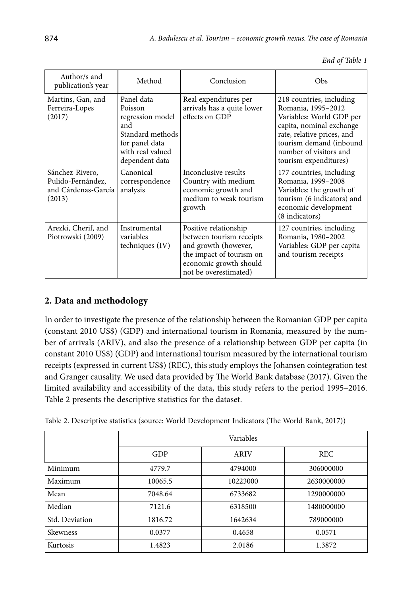|  |  | End of Table 1 |  |
|--|--|----------------|--|
|--|--|----------------|--|

| Author/s and<br>publication's year                                    | Method                                                                                                                       | Conclusion                                                                                                                                               | Obs                                                                                                                                                                                                                |
|-----------------------------------------------------------------------|------------------------------------------------------------------------------------------------------------------------------|----------------------------------------------------------------------------------------------------------------------------------------------------------|--------------------------------------------------------------------------------------------------------------------------------------------------------------------------------------------------------------------|
| Martins, Gan, and<br>Ferreira-Lopes<br>(2017)                         | Panel data<br>Poisson<br>regression model<br>and<br>Standard methods<br>for panel data<br>with real valued<br>dependent data | Real expenditures per<br>arrivals has a quite lower<br>effects on GDP                                                                                    | 218 countries, including<br>Romania, 1995-2012<br>Variables: World GDP per<br>capita, nominal exchange<br>rate, relative prices, and<br>tourism demand (inbound<br>number of visitors and<br>tourism expenditures) |
| Sánchez-Rivero,<br>Pulido-Fernández,<br>and Cárdenas-García<br>(2013) | Canonical<br>correspondence<br>analysis                                                                                      | Inconclusive results -<br>Country with medium<br>economic growth and<br>medium to weak tourism<br>growth                                                 | 177 countries, including<br>Romania, 1999-2008<br>Variables: the growth of<br>tourism (6 indicators) and<br>economic development<br>(8 indicators)                                                                 |
| Arezki, Cherif, and<br>Piotrowski (2009)                              | Instrumental<br>variables<br>techniques (IV)                                                                                 | Positive relationship<br>between tourism receipts<br>and growth (however,<br>the impact of tourism on<br>economic growth should<br>not be overestimated) | 127 countries, including<br>Romania, 1980-2002<br>Variables: GDP per capita<br>and tourism receipts                                                                                                                |

# **2. Data and methodology**

In order to investigate the presence of the relationship between the Romanian GDP per capita (constant 2010 US\$) (GDP) and international tourism in Romania, measured by the number of arrivals (ARIV), and also the presence of a relationship between GDP per capita (in constant 2010 US\$) (GDP) and international tourism measured by the international tourism receipts (expressed in current US\$) (REC), this study employs the Johansen cointegration test and Granger causality. We used data provided by The World Bank database (2017). Given the limited availability and accessibility of the data, this study refers to the period 1995–2016. Table 2 presents the descriptive statistics for the dataset.

| Table 2. Descriptive statistics (source: World Development Indicators (The World Bank, 2017)) |  |  |  |  |  |  |  |
|-----------------------------------------------------------------------------------------------|--|--|--|--|--|--|--|
|-----------------------------------------------------------------------------------------------|--|--|--|--|--|--|--|

|                |         | Variables |            |  |  |  |  |
|----------------|---------|-----------|------------|--|--|--|--|
|                | GDP     | ARIV      | <b>REC</b> |  |  |  |  |
| Minimum        | 4779.7  | 4794000   | 306000000  |  |  |  |  |
| Maximum        | 10065.5 | 10223000  | 2630000000 |  |  |  |  |
| Mean           | 7048.64 | 6733682   | 1290000000 |  |  |  |  |
| Median         | 7121.6  | 6318500   | 1480000000 |  |  |  |  |
| Std. Deviation | 1816.72 | 1642634   | 789000000  |  |  |  |  |
| Skewness       | 0.0377  | 0.4658    | 0.0571     |  |  |  |  |
| Kurtosis       | 1.4823  | 2.0186    | 1.3872     |  |  |  |  |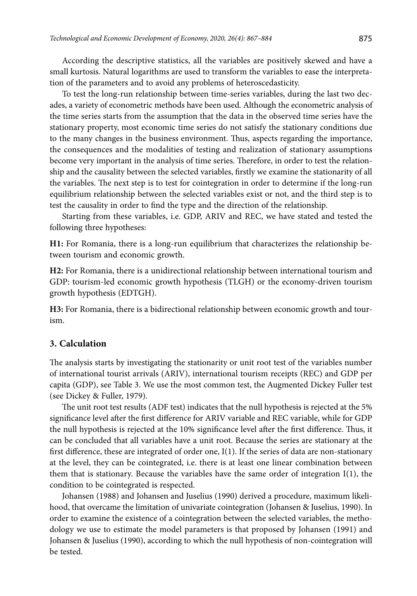According the descriptive statistics, all the variables are positively skewed and have a small kurtosis. Natural logarithms are used to transform the variables to ease the interpretation of the parameters and to avoid any problems of heteroscedasticity.

To test the long-run relationship between time-series variables, during the last two decades, a variety of econometric methods have been used. Although the econometric analysis of the time series starts from the assumption that the data in the observed time series have the stationary property, most economic time series do not satisfy the stationary conditions due to the many changes in the business environment. Thus, aspects regarding the importance, the consequences and the modalities of testing and realization of stationary assumptions become very important in the analysis of time series. Therefore, in order to test the relationship and the causality between the selected variables, firstly we examine the stationarity of all the variables. The next step is to test for cointegration in order to determine if the long-run equilibrium relationship between the selected variables exist or not, and the third step is to test the causality in order to find the type and the direction of the relationship.

Starting from these variables, i.e. GDP, ARIV and REC, we have stated and tested the following three hypotheses:

**H1:** For Romania, there is a long-run equilibrium that characterizes the relationship between tourism and economic growth.

**H2:** For Romania, there is a unidirectional relationship between international tourism and GDP: tourism-led economic growth hypothesis (TLGH) or the economy-driven tourism growth hypothesis (EDTGH).

**H3:** For Romania, there is a bidirectional relationship between economic growth and tourism.

#### **3. Calculation**

The analysis starts by investigating the stationarity or unit root test of the variables number of international tourist arrivals (ARIV), international tourism receipts (REC) and GDP per capita (GDP), see Table 3. We use the most common test, the Augmented Dickey Fuller test (see Dickey & Fuller, 1979).

The unit root test results (ADF test) indicates that the null hypothesis is rejected at the 5% significance level after the first difference for ARIV variable and REC variable, while for GDP the null hypothesis is rejected at the 10% significance level after the first difference. Thus, it can be concluded that all variables have a unit root. Because the series are stationary at the first difference, these are integrated of order one, I(1). If the series of data are non-stationary at the level, they can be cointegrated, i.e. there is at least one linear combination between them that is stationary. Because the variables have the same order of integration I(1), the condition to be cointegrated is respected.

Johansen (1988) and Johansen and Juselius (1990) derived a procedure, maximum likelihood, that overcame the limitation of univariate cointegration (Johansen & Juselius, 1990). In order to examine the existence of a cointegration between the selected variables, the methodology we use to estimate the model parameters is that proposed by Johansen (1991) and Johansen & Juselius (1990), according to which the null hypothesis of non-cointegration will be tested.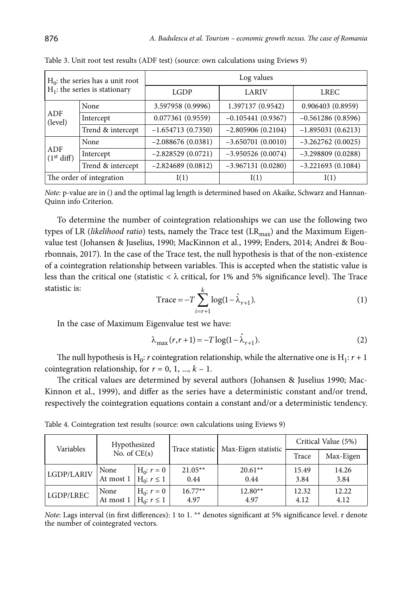| $H_0$ : the series has a unit root<br>$H_1$ : the series is stationary |                          | Log values          |                     |                     |  |  |
|------------------------------------------------------------------------|--------------------------|---------------------|---------------------|---------------------|--|--|
|                                                                        |                          | LGDP                | LARIV               | LREC                |  |  |
|                                                                        | None                     | 3.597958 (0.9996)   | 1.397137 (0.9542)   | 0.906403(0.8959)    |  |  |
| ADF<br>(level)                                                         | Intercept                | 0.077361(0.9559)    | $-0.105441(0.9367)$ | $-0.561286(0.8596)$ |  |  |
|                                                                        | Trend & intercept        | $-1.654713(0.7350)$ | $-2.805906(0.2104)$ | $-1.895031(0.6213)$ |  |  |
|                                                                        | None                     | $-2.088676(0.0381)$ | $-3.650701(0.0010)$ | $-3.262762(0.0025)$ |  |  |
| ADF<br>(1 <sup>st</sup> diff)                                          | Intercept                | $-2.828529(0.0721)$ | $-3.950526(0.0074)$ | $-3.298809(0.0288)$ |  |  |
|                                                                        | Trend & intercept        | $-2.824689(0.0812)$ | $-3.967131(0.0280)$ | $-3.221693(0.1084)$ |  |  |
|                                                                        | The order of integration | I(1)                | I(1)                | I(1)                |  |  |

Table 3. Unit root test results (ADF test) (source: own calculations using Eviews 9)

*Note:* p-value are in () and the optimal lag length is determined based on Akaike, Schwarz and Hannan-Quinn info Criterion.

To determine the number of cointegration relationships we can use the following two types of LR (*likelihood ratio*) tests, namely the Trace test (LR<sub>max</sub>) and the Maximum Eigenvalue test (Johansen & Juselius, 1990; MacKinnon et al., 1999; Enders, 2014; Andrei & Bourbonnais, 2017). In the case of the Trace test, the null hypothesis is that of the non-existence of a cointegration relationship between variables. This is accepted when the statistic value is less than the critical one (statistic < λ critical, for 1% and 5% significance level). The Trace statistic is: *k*

$$
Trace = -T \sum_{i=r+1}^{k} \log(1 - \hat{\lambda}_{r+1}).
$$
 (1)

In the case of Maximum Eigenvalue test we have:

$$
\lambda_{\max}(r, r+1) = -T \log(1 - \hat{\lambda}_{r+1}). \tag{2}
$$

The null hypothesis is H<sub>0</sub>: *r* cointegration relationship, while the alternative one is H<sub>1</sub>:  $r + 1$ cointegration relationship, for  $r = 0, 1, ..., k - 1$ .

The critical values are determined by several authors (Johansen & Juselius 1990; Mac-Kinnon et al., 1999), and differ as the series have a deterministic constant and/or trend, respectively the cointegration equations contain a constant and/or a deterministic tendency.

| Table 4. Cointegration test results (source: own calculations using Eviews 9) |  |  |
|-------------------------------------------------------------------------------|--|--|
|-------------------------------------------------------------------------------|--|--|

| Variables  | Hypothesized   |                    | Trace statistic | Max-Eigen statistic | Critical Value (5%) |           |  |
|------------|----------------|--------------------|-----------------|---------------------|---------------------|-----------|--|
|            | No. of $CE(s)$ |                    |                 |                     | Trace               | Max-Eigen |  |
| LGDP/LARIV | None           | $H_0: r = 0$       | $21.05**$       | $20.61**$           | 15.49               | 14.26     |  |
|            | At most 1      | $H_0$ : $r \leq 1$ | 0.44            | 0.44                | 3.84                | 3.84      |  |
| LGDP/LREC  | None           | $H_0: r = 0$       | $16.77**$       | $12.80**$           | 12.32               | 12.22     |  |
|            | At most 1      | $H_0: r \leq 1$    | 4.97            | 4.97                | 4.12                | 4.12      |  |

*Note*: Lags interval (in first differences): 1 to 1. \*\* denotes significant at 5% significance level. r denote the number of cointegrated vectors.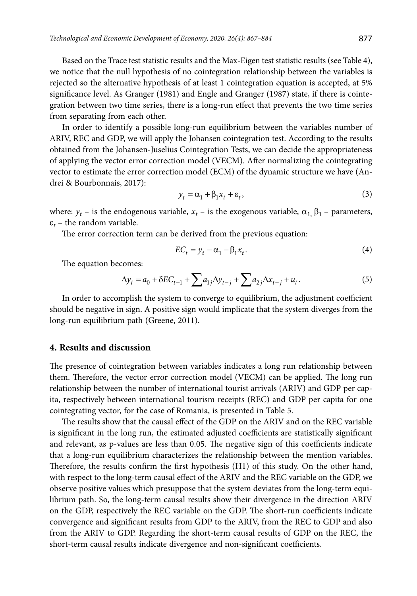Based on the Trace test statistic results and the Max-Eigen test statistic results (see Table 4), we notice that the null hypothesis of no cointegration relationship between the variables is rejected so the alternative hypothesis of at least 1 cointegration equation is accepted, at 5% significance level. As Granger (1981) and Engle and Granger (1987) state, if there is cointegration between two time series, there is a long-run effect that prevents the two time series from separating from each other.

In order to identify a possible long-run equilibrium between the variables number of ARIV, REC and GDP, we will apply the Johansen cointegration test. According to the results obtained from the Johansen-Juselius Cointegration Tests, we can decide the appropriateness of applying the vector error correction model (VECM). After normalizing the cointegrating vector to estimate the error correction model (ECM) of the dynamic structure we have (Andrei & Bourbonnais, 2017):

$$
y_t = \alpha_1 + \beta_1 x_t + \varepsilon_t,\tag{3}
$$

where:  $y_t$  – is the endogenous variable,  $x_t$  – is the exogenous variable,  $\alpha_1$ ,  $\beta_1$  – parameters,  $\varepsilon_t$  – the random variable.

The error correction term can be derived from the previous equation:

$$
EC_t = y_t - \alpha_1 - \beta_1 x_t. \tag{4}
$$

The equation becomes:

$$
\Delta y_t = a_0 + \delta E C_{t-1} + \sum a_{1j} \Delta y_{t-j} + \sum a_{2j} \Delta x_{t-j} + u_t.
$$
 (5)

In order to accomplish the system to converge to equilibrium, the adjustment coefficient should be negative in sign. A positive sign would implicate that the system diverges from the long-run equilibrium path (Greene, 2011).

#### **4. Results and discussion**

The presence of cointegration between variables indicates a long run relationship between them. Therefore, the vector error correction model (VECM) can be applied. The long run relationship between the number of international tourist arrivals (ARIV) and GDP per capita, respectively between international tourism receipts (REC) and GDP per capita for one cointegrating vector, for the case of Romania, is presented in Table 5.

The results show that the causal effect of the GDP on the ARIV and on the REC variable is significant in the long run, the estimated adjusted coefficients are statistically significant and relevant, as p-values are less than 0.05. The negative sign of this coefficients indicate that a long-run equilibrium characterizes the relationship between the mention variables. Therefore, the results confirm the first hypothesis (H1) of this study. On the other hand, with respect to the long-term causal effect of the ARIV and the REC variable on the GDP, we observe positive values which presuppose that the system deviates from the long-term equilibrium path. So, the long-term causal results show their divergence in the direction ARIV on the GDP, respectively the REC variable on the GDP. The short-run coefficients indicate convergence and significant results from GDP to the ARIV, from the REC to GDP and also from the ARIV to GDP. Regarding the short-term causal results of GDP on the REC, the short-term causal results indicate divergence and non-significant coefficients.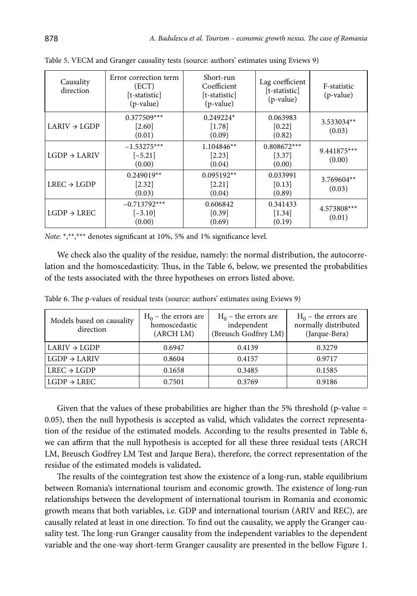| Causality<br>direction   | Error correction term<br>(ECT)<br>[t-statistic]<br>(p-value) | Short-run<br>Coefficient<br>[t-statistic]<br>(p-value) | Lag coefficient<br>[t-statistic]<br>(p-value) | F-statistic<br>$(p-value)$ |
|--------------------------|--------------------------------------------------------------|--------------------------------------------------------|-----------------------------------------------|----------------------------|
| $LARIV \rightarrow LGDP$ | $0.377509***$<br>$[2.60]$<br>(0.01)                          | $0.249224*$<br>[1.78]<br>(0.09)                        | 0.063983<br>[0.22]<br>(0.82)                  | 3.533034**<br>(0.03)       |
| $LGDP \rightarrow LARIV$ | $-1.53275***$<br>$[-5.21]$<br>(0.00)                         | $1.104846**$<br>[2.23]<br>(0.04)                       | $0.808672***$<br>[3.37]<br>(0.00)             | $9.441875***$<br>(0.00)    |
| $LREC \rightarrow LGDP$  | $0.249019**$<br>[2.32]<br>(0.03)                             | $0.095192**$<br>[2.21]<br>(0.04)                       | 0.033991<br>[0.13]<br>(0.89)                  | 3.769604**<br>(0.03)       |
| $LGDP \rightarrow LREC$  | $-0.713792***$<br>$[-3.10]$<br>(0.00)                        | 0.606842<br>[0.39]<br>(0.69)                           | 0.341433<br>$[1.34]$<br>(0.19)                | 4.573808***<br>(0.01)      |

Table 5. VECM and Granger causality tests (source: authors' estimates using Eviews 9)

*Note*: \*,\*\*,\*\*\* denotes significant at 10%, 5% and 1% significance level.

We check also the quality of the residue, namely: the normal distribution, the autocorrelation and the homoscedasticity. Thus, in the Table 6, below, we presented the probabilities of the tests associated with the three hypotheses on errors listed above.

| Models based on causality<br>direction | $H_0$ – the errors are<br>homoscedastic<br>(ARCH LM) | $H_0$ – the errors are<br>independent<br>(Breusch Godfrey LM) | $H_0$ – the errors are<br>normally distributed<br>(Jarque-Bera) |
|----------------------------------------|------------------------------------------------------|---------------------------------------------------------------|-----------------------------------------------------------------|
| $\mathsf{LARIV} \to \mathsf{LGDP}$     | 0.6947                                               | 0.4139                                                        | 0.3279                                                          |
| $LGDP \rightarrow LARIV$               | 0.8604                                               | 0.4157                                                        | 0.9717                                                          |
| $LREC \rightarrow LGDP$                | 0.1658                                               | 0.3485                                                        | 0.1585                                                          |
| $LGDP \rightarrow LREC$                | 0.7501                                               | 0.3769                                                        | 0.9186                                                          |

Table 6. The p-values of residual tests (source: authors' estimates using Eviews 9)

Given that the values of these probabilities are higher than the 5% threshold (p-value  $=$ 0.05), then the null hypothesis is accepted as valid, which validates the correct representation of the residue of the estimated models. According to the results presented in Table 6, we can affirm that the null hypothesis is accepted for all these three residual tests (ARCH LM, Breusch Godfrey LM Test and Jarque Bera), therefore, the correct representation of the residue of the estimated models is validated**.**

The results of the cointegration test show the existence of a long-run, stable equilibrium between Romania's international tourism and economic growth. The existence of long-run relationships between the development of international tourism in Romania and economic growth means that both variables, i.e. GDP and international tourism (ARIV and REC), are causally related at least in one direction. To find out the causality, we apply the Granger causality test. The long-run Granger causality from the independent variables to the dependent variable and the one-way short-term Granger causality are presented in the bellow Figure 1.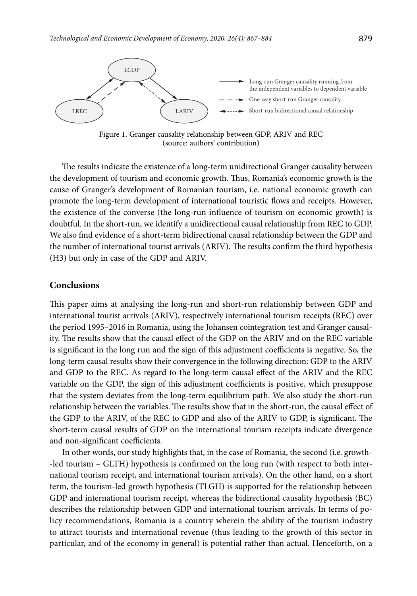

Figure 1. Granger causality relationship between GDP, ARIV and REC (source: authors' contribution)

The results indicate the existence of a long-term unidirectional Granger causality between the development of tourism and economic growth. Thus, Romania's economic growth is the cause of Granger's development of Romanian tourism, i.e. national economic growth can promote the long-term development of international touristic flows and receipts. However, the existence of the converse (the long-run influence of tourism on economic growth) is doubtful. In the short-run, we identify a unidirectional causal relationship from REC to GDP. We also find evidence of a short-term bidirectional causal relationship between the GDP and the number of international tourist arrivals (ARIV). The results confirm the third hypothesis (H3) but only in case of the GDP and ARIV.

#### **Conclusions**

This paper aims at analysing the long-run and short-run relationship between GDP and international tourist arrivals (ARIV), respectively international tourism receipts (REC) over the period 1995–2016 in Romania, using the Johansen cointegration test and Granger causality. The results show that the causal effect of the GDP on the ARIV and on the REC variable is significant in the long run and the sign of this adjustment coefficients is negative. So, the long-term causal results show their convergence in the following direction: GDP to the ARIV and GDP to the REC. As regard to the long-term causal effect of the ARIV and the REC variable on the GDP, the sign of this adjustment coefficients is positive, which presuppose that the system deviates from the long-term equilibrium path. We also study the short-run relationship between the variables. The results show that in the short-run, the causal effect of the GDP to the ARIV, of the REC to GDP and also of the ARIV to GDP, is significant. The short-term causal results of GDP on the international tourism receipts indicate divergence and non-significant coefficients.

In other words, our study highlights that, in the case of Romania, the second (i.e. growth- -led tourism – GLTH) hypothesis is confirmed on the long run (with respect to both international tourism receipt, and international tourism arrivals). On the other hand, on a short term, the tourism-led growth hypothesis (TLGH) is supported for the relationship between GDP and international tourism receipt, whereas the bidirectional causality hypothesis (BC) describes the relationship between GDP and international tourism arrivals. In terms of policy recommendations, Romania is a country wherein the ability of the tourism industry to attract tourists and international revenue (thus leading to the growth of this sector in particular, and of the economy in general) is potential rather than actual. Henceforth, on a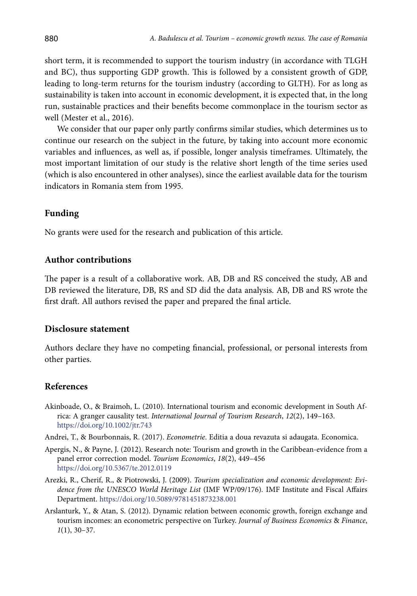short term, it is recommended to support the tourism industry (in accordance with TLGH and BC), thus supporting GDP growth. This is followed by a consistent growth of GDP, leading to long-term returns for the tourism industry (according to GLTH). For as long as sustainability is taken into account in economic development, it is expected that, in the long run, sustainable practices and their benefits become commonplace in the tourism sector as well (Mester et al., 2016).

We consider that our paper only partly confirms similar studies, which determines us to continue our research on the subject in the future, by taking into account more economic variables and influences, as well as, if possible, longer analysis timeframes. Ultimately, the most important limitation of our study is the relative short length of the time series used (which is also encountered in other analyses), since the earliest available data for the tourism indicators in Romania stem from 1995.

### **Funding**

No grants were used for the research and publication of this article.

### **Author contributions**

The paper is a result of a collaborative work. AB, DB and RS conceived the study, AB and DB reviewed the literature, DB, RS and SD did the data analysis. AB, DB and RS wrote the first draft. All authors revised the paper and prepared the final article.

### **Disclosure statement**

Authors declare they have no competing financial, professional, or personal interests from other parties.

## **References**

- Akinboade, O., & Braimoh, L. (2010). International tourism and economic development in South Africa: A granger causality test. *International Journal of Tourism Research*, *12*(2), 149–163. https://doi.org/10.1002/jtr.743
- Andrei, T., & Bourbonnais, R. (2017). *Econometrie*. Editia a doua revazuta si adaugata. Economica.
- Apergis, N., & Payne, J. (2012). Research note: Tourism and growth in the Caribbean-evidence from a panel error correction model. *Tourism Economics*, *18*(2), 449–456 https://doi.org/10.5367/te.2012.0119
- Arezki, R., Cherif, R., & Piotrowski, J. (2009). *Tourism specialization and economic development: Evidence from the UNESCO World Heritage List* (IMF WP/09/176)*.* IMF Institute and Fiscal Affairs Department. https://doi.org/10.5089/9781451873238.001
- Arslanturk, Y., & Atan, S. (2012). Dynamic relation between economic growth, foreign exchange and tourism incomes: an econometric perspective on Turkey. *Journal of Business Economics* & *Finance*, *1*(1), 30–37.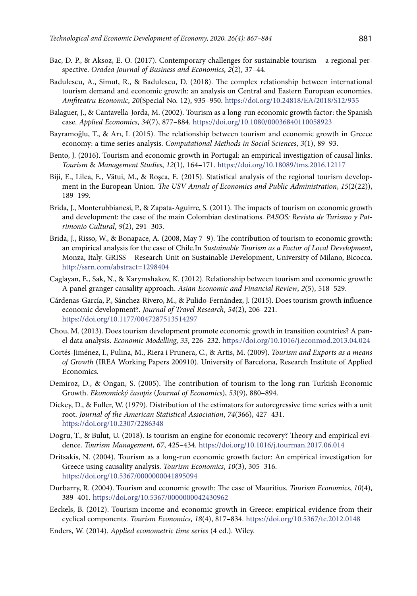- Bac, D. P., & Aksoz, E. O. (2017). Contemporary challenges for sustainable tourism a regional perspective. *Oradea Journal of Business and Economics*, *2*(2), 37–44.
- Badulescu, A., Simut, R., & Badulescu, D. (2018). The complex relationship between international tourism demand and economic growth: an analysis on Central and Eastern European economies. *Amfiteatru Economic*, *20*(Special No. 12), 935–950. https://doi.org/10.24818/EA/2018/S12/935
- Balaguer, J., & Cantavella-Jorda, M. (2002). Tourism as a long-run economic growth factor: the Spanish case. *Applied Economics*, *34*(7), 877–884. https://doi.org/10.1080/00036840110058923
- Bayramoğlu, T., & Arı, I. (2015). The relationship between tourism and economic growth in Greece economy: a time series analysis. *Computational Methods in Social Sciences*, *3*(1), 89–93.
- Bento, J. (2016). Tourism and economic growth in Portugal: an empirical investigation of causal links. *Tourism* & *Management Studies*, *12*(1), 164–171. https://doi.org/10.18089/tms.2016.12117
- Biji, E., Lilea, E., Vătui, M., & Rosca, E. (2015). Statistical analysis of the regional tourism development in the European Union. *The USV Annals of Economics and Public Administration*, *15*(2(22)), 189–199.
- Brida, J., Monterubbianesi, P., & Zapata-Aguirre, S. (2011). The impacts of tourism on economic growth and development: the case of the main Colombian destinations. *PASOS: Revista de Turismo y Patrimonio Cultural*, *9*(2), 291–303.
- Brida, J., Risso, W., & Bonapace, A. (2008, May 7–9). The contribution of tourism to economic growth: an empirical analysis for the case of Chile*.*In *Sustainable Tourism as a Factor of Local Development*, Monza, Italy. GRISS – Research Unit on Sustainable Development, University of Milano, Bicocca. <http://ssrn.com/abstract=1298404>
- Caglayan, E., Sak, N., & Karymshakov, K. (2012). Relationship between tourism and economic growth: A panel granger causality approach. *Asian Economic and Financial Review*, *2*(5), 518–529.
- Cárdenas-García, P., Sánchez-Rivero, M., & Pulido-Fernández, J. (2015). Does tourism growth influence economic development?. *Journal of Travel Research*, *54*(2), 206–221. https://doi.org/10.1177/0047287513514297
- Chou, M. (2013). Does tourism development promote economic growth in transition countries? A panel data analysis. *Economic Modelling*, *33*, 226–232. https://doi.org/10.1016/j.econmod.2013.04.024
- Cortés-Jiménez, I., Pulina, M., Riera i Prunera, C., & Artis, M. (2009). *Tourism and Exports as a means of Growth* (IREA Working Papers 200910). University of Barcelona, Research Institute of Applied Economics.
- Demiroz, D., & Ongan, S. (2005). The contribution of tourism to the long-run Turkish Economic Growth. *Ekonomický časopis* (*Journal of Economics*), *53*(9), 880–894.
- Dickey, D., & Fuller, W. (1979). Distribution of the estimators for autoregressive time series with a unit root. *Journal of the American Statistical Association*, *74*(366), 427–431. https://doi.org/10.2307/2286348
- Dogru, T., & Bulut, U. (2018). Is tourism an engine for economic recovery? Theory and empirical evidence. *Tourism Management*, *67*, 425–434. https://doi.org/10.1016/j.tourman.2017.06.014
- Dritsakis, N. (2004). Tourism as a long-run economic growth factor: An empirical investigation for Greece using causality analysis. *Tourism Economics*, *10*(3), 305–316. https://doi.org/10.5367/0000000041895094
- Durbarry, R. (2004). Tourism and economic growth: The case of Mauritius. *Tourism Economics*, *10*(4), 389–401. https://doi.org/10.5367/0000000042430962
- Eeckels, B. (2012). Tourism income and economic growth in Greece: empirical evidence from their cyclical components. *Tourism Economics*, *18*(4), 817–834. https://doi.org/10.5367/te.2012.0148
- Enders, W. (2014). *Applied econometric time series* (4 ed.). Wiley.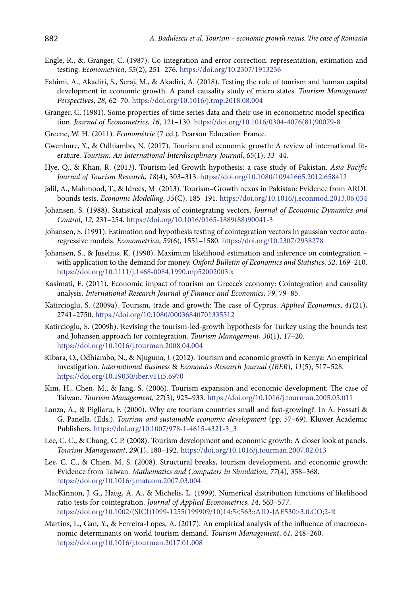- Engle, R., &, Granger, C. (1987). Co-integration and error correction: representation, estimation and testing. *Econometrica*, *55*(2), 251–276. https://doi.org/10.2307/1913236
- Fahimi, A., Akadiri, S., Seraj, M., & Akadiri, A. (2018). Testing the role of tourism and human capital development in economic growth. A panel causality study of micro states. *Tourism Management Perspectives*, *28*, 62–70. https://doi.org/10.1016/j.tmp.2018.08.004
- Granger, C. (1981). Some properties of time series data and their use in econometric model specification. *Journal of Econometrics*, *16*, 121–130. https://doi.org/10.1016/0304-4076(81)90079-8
- Greene, W. H. (2011). *Econométrie* (7 ed.). Pearson Education France.
- Gwenhure, Y., & Odhiambo, N. (2017). Tourism and economic growth: A review of international literature. *Tourism: An International Interdisciplinary Journal*, *65*(1), 33–44.
- Hye, Q., & Khan, R. (2013). Tourism-led Growth hypothesis: a case study of Pakistan. *Asia Pacific Journal of Tourism Research*, *18*(4), 303–313. https://doi.org/10.1080/10941665.2012.658412
- Jalil, A., Mahmood, T., & Idrees, M. (2013). Tourism–Growth nexus in Pakistan: Evidence from ARDL bounds tests. *Economic Modelling*, *35*(C), 185–191. https://doi.org/10.1016/j.econmod.2013.06.034
- Johansen, S. (1988). Statistical analysis of cointegrating vectors. *Journal of Economic Dynamics and Control*, *12*, 231–254. https://doi.org/10.1016/0165-1889(88)90041-3
- Johansen, S. (1991). Estimation and hypothesis testing of cointegration vectors in gaussian vector autoregressive models. *Econometrica*, *59*(6), 1551–1580. https://doi.org/10.2307/2938278
- Johansen, S., & Juselius, K. (1990). Maximum likelihood estimation and inference on cointegration with application to the demand for money. *Oxford Bulletin of Economics and Statistics*, *52*, 169–210. https://doi.org/10.1111/j.1468-0084.1990.mp52002003.x
- Kasimati, E. (2011). Economic impact of tourism on Greece's economy: Cointegration and causality analysis. *International Research Journal of Finance and Economics*, *79*, 79–85.
- Katircioglu, S. (2009a). Tourism, trade and growth: The case of Cyprus. *Applied Economics*, *41*(21), 2741–2750. https://doi.org/10.1080/00036840701335512
- Katircioglu, S. (2009b). Revising the tourism-led-growth hypothesis for Turkey using the bounds test and Johansen approach for cointegration. *Tourism Management*, *30*(1), 17–20. https://doi.org/10.1016/j.tourman.2008.04.004
- Kibara, O., Odhiambo, N., & Njuguna, J. (2012). Tourism and economic growth in Kenya: An empirical investigation. *International Business* & *Economics Research Journal* (*IBER*), *11*(5), 517–528. https://doi.org/10.19030/iber.v11i5.6970
- Kim, H., Chen, M., & Jang, S. (2006). Tourism expansion and economic development: The case of Taiwan. *Tourism Management*, *27*(5), 925–933. https://doi.org/10.1016/j.tourman.2005.05.011
- Lanza, A., & Pigliaru, F. (2000). Why are tourism countries small and fast-growing?. In A. Fossati & G. Panella, (Eds.), *Tourism and sustainable economic development* (pp. 57–69). Kluwer Academic Publishers. https://doi.org/10.1007/978-1-4615-4321-3\_3
- Lee, C. C., & Chang, C. P. (2008). Tourism development and economic growth: A closer look at panels. *Tourism Management*, *29*(1), 180–192. https://doi.org/10.1016/j.tourman.2007.02.013
- Lee, C. C., & Chien, M. S. (2008). Structural breaks, tourism development, and economic growth: Evidence from Taiwan. *Mathematics and Computers in Simulation*, *77*(4), 358–368. https://doi.org/10.1016/j.matcom.2007.03.004
- MacKinnon, J. G., Haug, A. A., & Michelis, L. (1999). Numerical distribution functions of likelihood ratio tests for cointegration. *Journal of Applied Econometrics*, *14*, 563–577. https://doi.org/10.1002/(SICI)1099-1255(199909/10)14:5<563::AID-JAE530>3.0.CO;2-R
- Martins, L., Gan, Y., & Ferreira-Lopes, A. (2017). An empirical analysis of the influence of macroeconomic determinants on world tourism demand. *Tourism Management*, *61*, 248–260. https://doi.org/10.1016/j.tourman.2017.01.008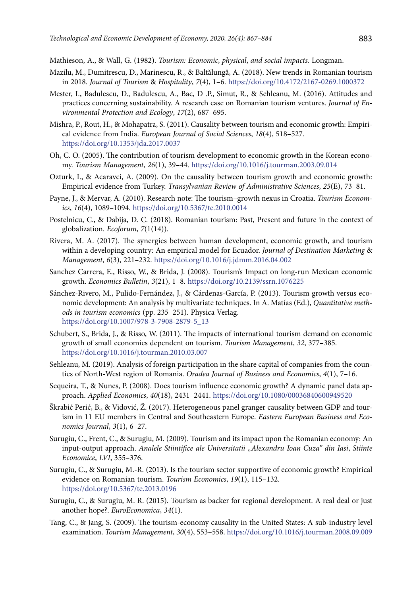Mathieson, A., & Wall, G. (1982). *Tourism: Economic*, *physical*, *and social impacts.* Longman.

- Mazilu, M., Dumitrescu, D., Marinescu, R., & Baltălungă, A. (2018). New trends in Romanian tourism in 2018. *Journal of Tourism* & *Hospitality*, *7*(4), 1–6. https://doi.org/10.4172/2167-0269.1000372
- Mester, I., Badulescu, D., Badulescu, A., Bac, D .P., Simut, R., & Sehleanu, M. (2016). Attitudes and practices concerning sustainability. A research case on Romanian tourism ventures. *Journal of Environmental Protection and Ecology*, *17*(2), 687–695.
- Mishra, P., Rout, H., & Mohapatra, S. (2011). Causality between tourism and economic growth: Empirical evidence from India. *European Journal of Social Sciences*, *18*(4), 518–527. https://doi.org/10.1353/jda.2017.0037
- Oh, C. O. (2005). The contribution of tourism development to economic growth in the Korean economy. *Tourism Management*, *26*(1), 39–44. https://doi.org/10.1016/j.tourman.2003.09.014
- Ozturk, I., & Acaravci, A. (2009). On the causality between tourism growth and economic growth: Empirical evidence from Turkey. *Transylvanian Review of Administrative Sciences*, *25*(E), 73–81.
- Payne, J., & Mervar, A. (2010). Research note: The tourism–growth nexus in Croatia. *Tourism Economics*, *16*(4), 1089–1094. https://doi.org/10.5367/te.2010.0014
- Postelnicu, C., & Dabija, D. C. (2018). Romanian tourism: Past, Present and future in the context of globalization. *Ecoforum*, *7*(1(14)).
- Rivera, M. A. (2017). The synergies between human development, economic growth, and tourism within a developing country: An empirical model for Ecuador. *Journal of Destination Marketing* & *Management*, *6*(3), 221–232. https://doi.org/10.1016/j.jdmm.2016.04.002
- Sanchez Carrera, E., Risso, W., & Brida, J. (2008). Tourism's Impact on long-run Mexican economic growth. *Economics Bulletin*, *3*(21), 1–8. https://doi.org/10.2139/ssrn.1076225
- Sánchez-Rivero, M., Pulido-Fernández, J., & Cárdenas-García, P. (2013). Tourism growth versus economic development: An analysis by multivariate techniques. In A. Matías (Ed.), *Quantitative methods in tourism economics* (pp. 235–251)*.* Physica Verlag. https://doi.org/10.1007/978-3-7908-2879-5\_13
- Schubert, S., Brida, J., & Risso, W. (2011). The impacts of international tourism demand on economic growth of small economies dependent on tourism. *Tourism Management*, *32*, 377–385. https://doi.org/10.1016/j.tourman.2010.03.007
- Sehleanu, M. (2019). Analysis of foreign participation in the share capital of companies from the counties of North-West region of Romania. *Oradea Journal of Business and Economics*, *4*(1), 7–16.
- Sequeira, T., & Nunes, P. (2008). Does tourism influence economic growth? A dynamic panel data approach. *Applied Economics*, *40*(18), 2431–2441. https://doi.org/10.1080/00036840600949520
- Škrabić Perić, B., & Vidović, Ž. (2017). Heterogeneous panel granger causality between GDP and tourism in 11 EU members in Central and Southeastern Europe. *Eastern European Business and Economics Journal*, *3*(1), 6–27.
- Surugiu, C., Frent, C., & Surugiu, M. (2009). Tourism and its impact upon the Romanian economy: An input-output approach. *Analele Stiintifice ale Universitatii "Alexandru Ioan Cuza" din Iasi*, *Stiinte Economice*, *LVI*, 355–376.
- Surugiu, C., & Surugiu, M.-R. (2013). Is the tourism sector supportive of economic growth? Empirical evidence on Romanian tourism. *Tourism Economics*, *19*(1), 115–132. https://doi.org/10.5367/te.2013.0196
- Surugiu, C., & Surugiu, M. R. (2015). Tourism as backer for regional development. A real deal or just another hope?. *EuroEconomica*, *34*(1).
- Tang, C., & Jang, S. (2009). The tourism-economy causality in the United States: A sub-industry level examination. *Tourism Management*, *30*(4), 553–558. https://doi.org/10.1016/j.tourman.2008.09.009